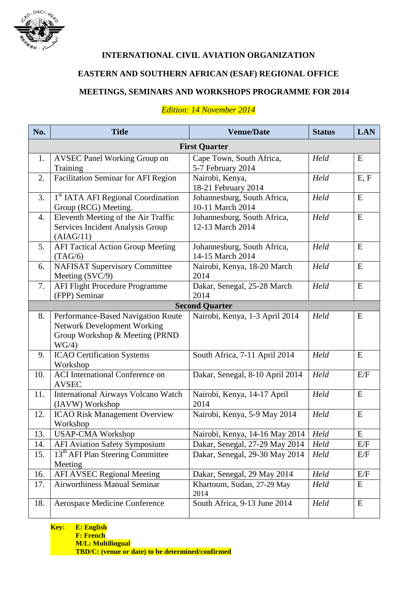

### **INTERNATIONAL CIVIL AVIATION ORGANIZATION**

# **EASTERN AND SOUTHERN AFRICAN (ESAF) REGIONAL OFFICE**

# **MEETINGS, SEMINARS AND WORKSHOPS PROGRAMME FOR 2014**

| No.                   | <b>Title</b>                                                                                                        | <b>Venue/Date</b>                               | <b>Status</b> | <b>LAN</b> |  |
|-----------------------|---------------------------------------------------------------------------------------------------------------------|-------------------------------------------------|---------------|------------|--|
| <b>First Quarter</b>  |                                                                                                                     |                                                 |               |            |  |
| 1.                    | <b>AVSEC Panel Working Group on</b>                                                                                 | Cape Town, South Africa,                        | Held          | E          |  |
|                       | Training                                                                                                            | 5-7 February 2014                               |               |            |  |
| 2.                    | <b>Facilitation Seminar for AFI Region</b>                                                                          | Nairobi, Kenya,<br>18-21 February 2014          | Held          | E, F       |  |
| 3.                    | <sup>1st</sup> IATA AFI Regional Coordination<br>Group (RCG) Meeting.                                               | Johannesburg, South Africa,<br>10-11 March 2014 | Held          | E          |  |
| 4.                    | Eleventh Meeting of the Air Traffic<br>Services Incident Analysis Group<br>(AIAG/11)                                | Johannesburg, South Africa,<br>12-13 March 2014 | Held          | E          |  |
| 5.                    | <b>AFI Tactical Action Group Meeting</b><br>(TAG/6)                                                                 | Johannesburg, South Africa,<br>14-15 March 2014 | Held          | E          |  |
| 6.                    | <b>NAFISAT Supervisory Committee</b><br>Meeting (SVC/9)                                                             | Nairobi, Kenya, 18-20 March<br>2014             | Held          | E          |  |
| 7.                    | <b>AFI Flight Procedure Programme</b><br>(FPP) Seminar                                                              | Dakar, Senegal, 25-28 March<br>2014             | Held          | E          |  |
| <b>Second Quarter</b> |                                                                                                                     |                                                 |               |            |  |
| 8.                    | Performance-Based Navigation Route<br><b>Network Development Working</b><br>Group Workshop & Meeting (PRND<br>WG/4) | Nairobi, Kenya, 1-3 April 2014                  | Held          | E          |  |
| 9.                    | <b>ICAO Certification Systems</b><br>Workshop                                                                       | South Africa, 7-11 April 2014                   | Held          | E          |  |
| 10.                   | <b>ACI</b> International Conference on<br><b>AVSEC</b>                                                              | Dakar, Senegal, 8-10 April 2014                 | Held          | E/F        |  |
| 11.                   | International Airways Volcano Watch<br>(IAVW) Workshop                                                              | Nairobi, Kenya, 14-17 April<br>2014             | Held          | E          |  |
| 12.                   | <b>ICAO Risk Management Overview</b><br>Workshop                                                                    | Nairobi, Kenya, 5-9 May 2014                    | Held          | E          |  |
| 13.                   | <b>USAP-CMA Workshop</b>                                                                                            | Nairobi, Kenya, 14-16 May 2014                  | Held          | E          |  |
| 14.                   | <b>AFI Aviation Safety Symposium</b>                                                                                | Dakar, Senegal, 27-29 May 2014                  | Held          | $\rm E/F$  |  |
| 15.                   | 13 <sup>th</sup> AFI Plan Steering Committee<br>Meeting                                                             | Dakar, Senegal, 29-30 May 2014                  | Held          | E/F        |  |
| 16.                   | <b>AFI AVSEC Regional Meeting</b>                                                                                   | Dakar, Senegal, 29 May 2014                     | Held          | E/F        |  |
| 17.                   | <b>Airworthiness Manual Seminar</b>                                                                                 | Khartoum, Sudan, 27-29 May<br>2014              | Held          | E          |  |
| 18.                   | Aerospace Medicine Conference                                                                                       | South Africa, 9-13 June 2014                    | Held          | E          |  |

#### *Edition: 14 November 2014*

**Key: E: English F: French M/L: Multilingual TBD/C: (venue or date) to be determined/confirmed**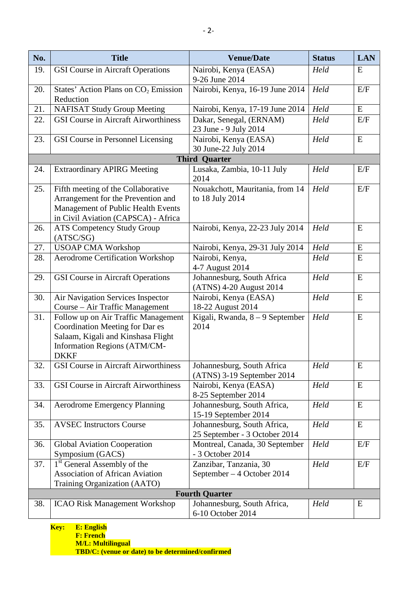| No.                   | <b>Title</b>                                                                                                                                                       | <b>Venue/Date</b>                                            | <b>Status</b> | <b>LAN</b>  |  |
|-----------------------|--------------------------------------------------------------------------------------------------------------------------------------------------------------------|--------------------------------------------------------------|---------------|-------------|--|
| 19.                   | <b>GSI Course in Aircraft Operations</b>                                                                                                                           | Nairobi, Kenya (EASA)<br>9-26 June 2014                      | Held          | E           |  |
| 20.                   | States' Action Plans on CO <sub>2</sub> Emission<br>Reduction                                                                                                      | Nairobi, Kenya, 16-19 June 2014                              | Held          | E/F         |  |
| 21.                   | <b>NAFISAT Study Group Meeting</b>                                                                                                                                 | Nairobi, Kenya, 17-19 June 2014                              | Held          | E           |  |
| 22.                   | <b>GSI Course in Aircraft Airworthiness</b>                                                                                                                        | Dakar, Senegal, (ERNAM)<br>23 June - 9 July 2014             | Held          | E/F         |  |
| 23.                   | GSI Course in Personnel Licensing                                                                                                                                  | Nairobi, Kenya (EASA)<br>30 June-22 July 2014                | Held          | E           |  |
|                       |                                                                                                                                                                    | <b>Third Quarter</b>                                         |               |             |  |
| 24.                   | <b>Extraordinary APIRG Meeting</b>                                                                                                                                 | Lusaka, Zambia, 10-11 July<br>2014                           | Held          | E/F         |  |
| 25.                   | Fifth meeting of the Collaborative<br>Arrangement for the Prevention and<br>Management of Public Health Events<br>in Civil Aviation (CAPSCA) - Africa              | Nouakchott, Mauritania, from 14<br>to 18 July 2014           | Held          | E/F         |  |
| 26.                   | <b>ATS Competency Study Group</b><br>(ATSC/SG)                                                                                                                     | Nairobi, Kenya, 22-23 July 2014                              | Held          | E           |  |
| 27.                   | <b>USOAP CMA Workshop</b>                                                                                                                                          | Nairobi, Kenya, 29-31 July 2014                              | Held          | E           |  |
| 28.                   | <b>Aerodrome Certification Workshop</b>                                                                                                                            | Nairobi, Kenya,<br>4-7 August 2014                           | Held          | E           |  |
| 29.                   | <b>GSI Course in Aircraft Operations</b>                                                                                                                           | Johannesburg, South Africa<br>(ATNS) 4-20 August 2014        | Held          | E           |  |
| 30.                   | Air Navigation Services Inspector<br>Course – Air Traffic Management                                                                                               | Nairobi, Kenya (EASA)<br>18-22 August 2014                   | Held          | E           |  |
| 31.                   | Follow up on Air Traffic Management<br>Coordination Meeting for Dar es<br>Salaam, Kigali and Kinshasa Flight<br><b>Information Regions (ATM/CM-</b><br><b>DKKF</b> | Kigali, Rwanda, $8 - 9$ September<br>2014                    | Held          | E           |  |
| 32.                   | <b>GSI Course in Aircraft Airworthiness</b>                                                                                                                        | Johannesburg, South Africa<br>(ATNS) 3-19 September 2014     | Held          | E           |  |
| 33.                   | <b>GSI Course in Aircraft Airworthiness</b>                                                                                                                        | Nairobi, Kenya (EASA)<br>8-25 September 2014                 | Held          | E           |  |
| 34.                   | <b>Aerodrome Emergency Planning</b>                                                                                                                                | Johannesburg, South Africa,<br>15-19 September 2014          | Held          | $\mathbf E$ |  |
| 35.                   | <b>AVSEC Instructors Course</b>                                                                                                                                    | Johannesburg, South Africa,<br>25 September - 3 October 2014 | Held          | E           |  |
| 36.                   | <b>Global Aviation Cooperation</b><br>Symposium (GACS)                                                                                                             | Montreal, Canada, 30 September<br>- 3 October 2014           | Held          | E/F         |  |
| 37.                   | 1 <sup>st</sup> General Assembly of the<br><b>Association of African Aviation</b><br>Training Organization (AATO)                                                  | Zanzibar, Tanzania, 30<br>September – 4 October 2014         | Held          | E/F         |  |
| <b>Fourth Quarter</b> |                                                                                                                                                                    |                                                              |               |             |  |
| 38.                   | <b>ICAO Risk Management Workshop</b>                                                                                                                               | Johannesburg, South Africa,<br>6-10 October 2014             | Held          | E           |  |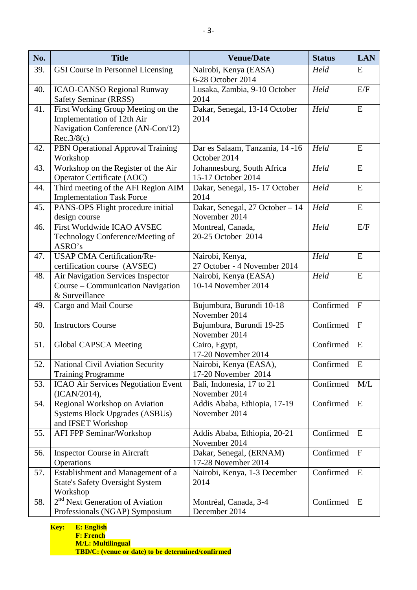| No. | <b>Title</b>                                                                                                        | <b>Venue/Date</b>                                | <b>Status</b>                 | <b>LAN</b>   |
|-----|---------------------------------------------------------------------------------------------------------------------|--------------------------------------------------|-------------------------------|--------------|
| 39. | GSI Course in Personnel Licensing                                                                                   | Nairobi, Kenya (EASA)<br>6-28 October 2014       | Held                          | E            |
| 40. | <b>ICAO-CANSO Regional Runway</b><br>Safety Seminar (RRSS)                                                          | Lusaka, Zambia, 9-10 October<br>2014             | Held                          | E/F          |
| 41. | First Working Group Meeting on the<br>Implementation of 12th Air<br>Navigation Conference (AN-Con/12)<br>Rec.3/8(c) | Dakar, Senegal, 13-14 October<br>2014            | Held                          | E            |
| 42. | PBN Operational Approval Training<br>Workshop                                                                       | Dar es Salaam, Tanzania, 14 -16<br>October 2014  | Held                          | E            |
| 43. | Workshop on the Register of the Air<br>Operator Certificate (AOC)                                                   | Johannesburg, South Africa<br>15-17 October 2014 | Held                          | E            |
| 44. | Third meeting of the AFI Region AIM<br><b>Implementation Task Force</b>                                             | Dakar, Senegal, 15-17 October<br>2014            | Held                          | E            |
| 45. | PANS-OPS Flight procedure initial<br>design course                                                                  | Dakar, Senegal, 27 October - 14<br>November 2014 | Held                          | E            |
| 46. | First Worldwide ICAO AVSEC<br>Technology Conference/Meeting of<br>ASRO's                                            | Montreal, Canada,<br>20-25 October 2014          | Held                          | E/F          |
| 47. | <b>USAP CMA Certification/Re-</b><br>certification course (AVSEC)                                                   | Nairobi, Kenya,<br>27 October - 4 November 2014  | Held                          | E            |
| 48. | Air Navigation Services Inspector<br>Course - Communication Navigation<br>& Surveillance                            | Nairobi, Kenya (EASA)<br>10-14 November 2014     | Held                          | E            |
| 49. | Cargo and Mail Course                                                                                               | Bujumbura, Burundi 10-18<br>November 2014        | $\overline{\text{Confirmed}}$ | $\mathbf{F}$ |
| 50. | <b>Instructors Course</b>                                                                                           | Bujumbura, Burundi 19-25<br>November 2014        | Confirmed                     | $\mathbf{F}$ |
| 51. | Global CAPSCA Meeting                                                                                               | Cairo, Egypt,<br>17-20 November 2014             | Confirmed                     | E            |
| 52. | National Civil Aviation Security<br><b>Training Programme</b>                                                       | Nairobi, Kenya (EASA),<br>17-20 November 2014    | Confirmed $E$                 |              |
| 53. | ICAO Air Services Negotiation Event<br>(ICAN/2014),                                                                 | Bali, Indonesia, 17 to 21<br>November 2014       | Confirmed                     | M/L          |
| 54. | Regional Workshop on Aviation<br>Systems Block Upgrades (ASBUs)<br>and IFSET Workshop                               | Addis Ababa, Ethiopia, 17-19<br>November 2014    | Confirmed                     | E            |
| 55. | AFI FPP Seminar/Workshop                                                                                            | Addis Ababa, Ethiopia, 20-21<br>November 2014    | Confirmed                     | E            |
| 56. | <b>Inspector Course in Aircraft</b><br>Operations                                                                   | Dakar, Senegal, (ERNAM)<br>17-28 November 2014   | Confirmed                     | $\mathbf{F}$ |
| 57. | Establishment and Management of a<br><b>State's Safety Oversight System</b><br>Workshop                             | Nairobi, Kenya, 1-3 December<br>2014             | Confirmed                     | E            |
| 58. | 2 <sup>nd</sup> Next Generation of Aviation<br>Professionals (NGAP) Symposium                                       | Montréal, Canada, 3-4<br>December 2014           | Confirmed                     | E            |